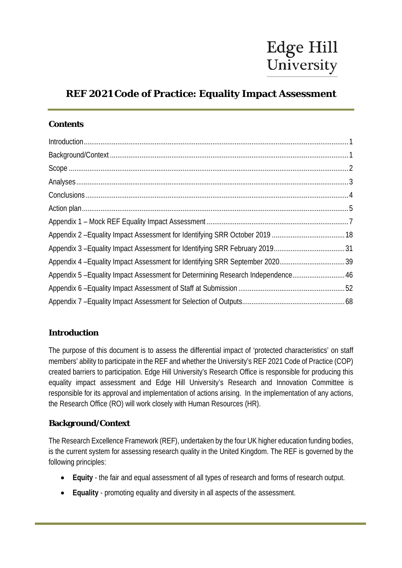# **REF 2021 Code of Practice: Equality Impact Assessment**

### **Contents**

| Appendix 5 - Equality Impact Assessment for Determining Research Independence 46 |  |
|----------------------------------------------------------------------------------|--|
|                                                                                  |  |
|                                                                                  |  |

# <span id="page-0-0"></span>**Introduction**

The purpose of this document is to assess the differential impact of 'protected characteristics' on staff members' ability to participate in the REF and whether the University's REF 2021 Code of Practice (COP) created barriers to participation. Edge Hill University's Research Office is responsible for producing this equality impact assessment and Edge Hill University's Research and Innovation Committee is responsible for its approval and implementation of actions arising. In the implementation of any actions, the Research Office (RO) will work closely with Human Resources (HR).

# <span id="page-0-1"></span>**Background/Context**

The Research Excellence Framework (REF), undertaken by the four UK higher education funding bodies, is the current system for assessing research quality in the United Kingdom. The REF is governed by the following principles:

- **Equity** the fair and equal assessment of all types of research and forms of research output.
- **Equality** promoting equality and diversity in all aspects of the assessment.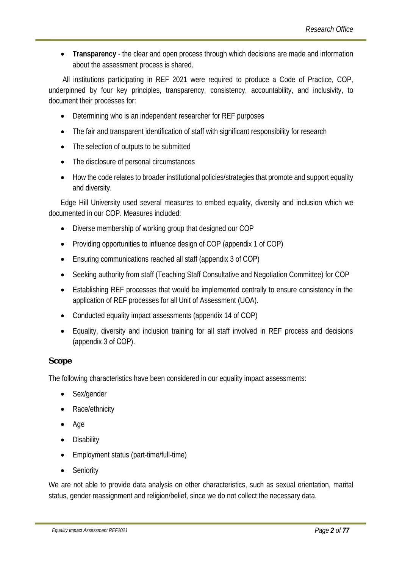• **Transparency** - the clear and open process through which decisions are made and information about the assessment process is shared.

All institutions participating in REF 2021 were required to produce a Code of Practice, COP, underpinned by four key principles, transparency, consistency, accountability, and inclusivity, to document their processes for:

- Determining who is an independent researcher for REF purposes
- The fair and transparent identification of staff with significant responsibility for research
- The selection of outputs to be submitted
- The disclosure of personal circumstances
- How the code relates to broader institutional policies/strategies that promote and support equality and diversity.

Edge Hill University used several measures to embed equality, diversity and inclusion which we documented in our COP. Measures included:

- Diverse membership of working group that designed our COP
- Providing opportunities to influence design of COP (appendix 1 of COP)
- Ensuring communications reached all staff (appendix 3 of COP)
- Seeking authority from staff (Teaching Staff Consultative and Negotiation Committee) for COP
- Establishing REF processes that would be implemented centrally to ensure consistency in the application of REF processes for all Unit of Assessment (UOA).
- Conducted equality impact assessments (appendix 14 of COP)
- Equality, diversity and inclusion training for all staff involved in REF process and decisions (appendix 3 of COP).

#### <span id="page-1-0"></span>**Scope**

The following characteristics have been considered in our equality impact assessments:

- Sex/gender
- Race/ethnicity
- Age
- Disability
- Employment status (part-time/full-time)
- Seniority

We are not able to provide data analysis on other characteristics, such as sexual orientation, marital status, gender reassignment and religion/belief, since we do not collect the necessary data.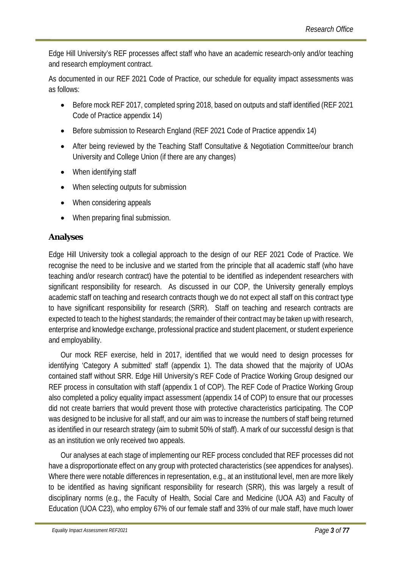Edge Hill University's REF processes affect staff who have an academic research-only and/or teaching and research employment contract.

As documented in our REF 2021 Code of Practice, our schedule for equality impact assessments was as follows:

- Before mock REF 2017, completed spring 2018, based on outputs and staff identified (REF 2021 Code of Practice appendix 14)
- Before submission to Research England (REF 2021 Code of Practice appendix 14)
- After being reviewed by the Teaching Staff Consultative & Negotiation Committee/our branch University and College Union (if there are any changes)
- When identifying staff
- When selecting outputs for submission
- When considering appeals
- When preparing final submission.

### <span id="page-2-0"></span>**Analyses**

Edge Hill University took a collegial approach to the design of our REF 2021 Code of Practice. We recognise the need to be inclusive and we started from the principle that all academic staff (who have teaching and/or research contract) have the potential to be identified as independent researchers with significant responsibility for research. As discussed in our COP, the University generally employs academic staff on teaching and research contracts though we do not expect all staff on this contract type to have significant responsibility for research (SRR). Staff on teaching and research contracts are expected to teach to the highest standards; the remainder of their contract may be taken up with research, enterprise and knowledge exchange, professional practice and student placement, or student experience and employability.

Our mock REF exercise, held in 2017, identified that we would need to design processes for identifying 'Category A submitted' staff (appendix 1). The data showed that the majority of UOAs contained staff without SRR. Edge Hill University's REF Code of Practice Working Group designed our REF process in consultation with staff (appendix 1 of COP). The REF Code of Practice Working Group also completed a policy equality impact assessment (appendix 14 of COP) to ensure that our processes did not create barriers that would prevent those with protective characteristics participating. The COP was designed to be inclusive for all staff, and our aim was to increase the numbers of staff being returned as identified in our research strategy (aim to submit 50% of staff). A mark of our successful design is that as an institution we only received two appeals.

Our analyses at each stage of implementing our REF process concluded that REF processes did not have a disproportionate effect on any group with protected characteristics (see appendices for analyses). Where there were notable differences in representation, e.g., at an institutional level, men are more likely to be identified as having significant responsibility for research (SRR), this was largely a result of disciplinary norms (e.g., the Faculty of Health, Social Care and Medicine (UOA A3) and Faculty of Education (UOA C23), who employ 67% of our female staff and 33% of our male staff, have much lower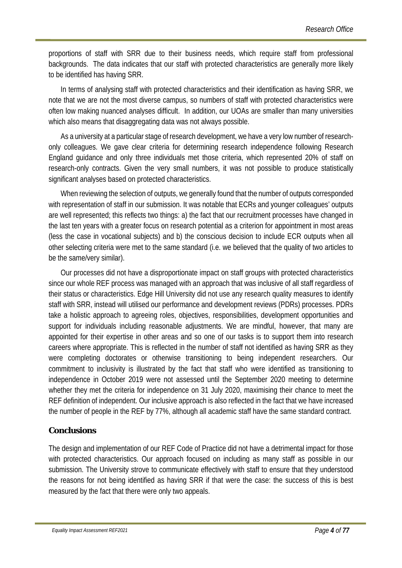proportions of staff with SRR due to their business needs, which require staff from professional backgrounds. The data indicates that our staff with protected characteristics are generally more likely to be identified has having SRR.

In terms of analysing staff with protected characteristics and their identification as having SRR, we note that we are not the most diverse campus, so numbers of staff with protected characteristics were often low making nuanced analyses difficult. In addition, our UOAs are smaller than many universities which also means that disaggregating data was not always possible.

As a university at a particular stage of research development, we have a very low number of researchonly colleagues. We gave clear criteria for determining research independence following Research England guidance and only three individuals met those criteria, which represented 20% of staff on research-only contracts. Given the very small numbers, it was not possible to produce statistically significant analyses based on protected characteristics.

When reviewing the selection of outputs, we generally found that the number of outputs corresponded with representation of staff in our submission. It was notable that ECRs and younger colleagues' outputs are well represented; this reflects two things: a) the fact that our recruitment processes have changed in the last ten years with a greater focus on research potential as a criterion for appointment in most areas (less the case in vocational subjects) and b) the conscious decision to include ECR outputs when all other selecting criteria were met to the same standard (i.e. we believed that the quality of two articles to be the same/very similar).

Our processes did not have a disproportionate impact on staff groups with protected characteristics since our whole REF process was managed with an approach that was inclusive of all staff regardless of their status or characteristics. Edge Hill University did not use any research quality measures to identify staff with SRR, instead will utilised our performance and development reviews (PDRs) processes. PDRs take a holistic approach to agreeing roles, objectives, responsibilities, development opportunities and support for individuals including reasonable adjustments. We are mindful, however, that many are appointed for their expertise in other areas and so one of our tasks is to support them into research careers where appropriate. This is reflected in the number of staff not identified as having SRR as they were completing doctorates or otherwise transitioning to being independent researchers. Our commitment to inclusivity is illustrated by the fact that staff who were identified as transitioning to independence in October 2019 were not assessed until the September 2020 meeting to determine whether they met the criteria for independence on 31 July 2020, maximising their chance to meet the REF definition of independent. Our inclusive approach is also reflected in the fact that we have increased the number of people in the REF by 77%, although all academic staff have the same standard contract.

### <span id="page-3-0"></span>**Conclusions**

The design and implementation of our REF Code of Practice did not have a detrimental impact for those with protected characteristics. Our approach focused on including as many staff as possible in our submission. The University strove to communicate effectively with staff to ensure that they understood the reasons for not being identified as having SRR if that were the case: the success of this is best measured by the fact that there were only two appeals.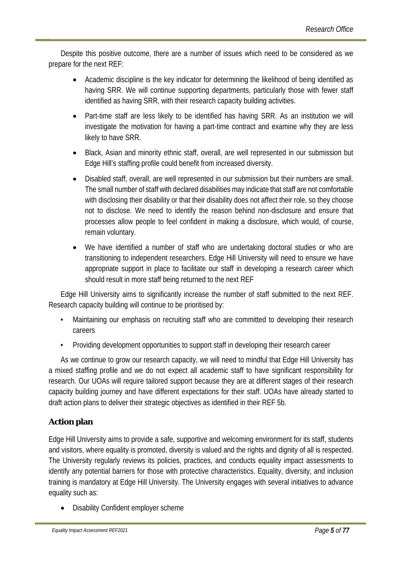Despite this positive outcome, there are a number of issues which need to be considered as we prepare for the next REF:

- Academic discipline is the key indicator for determining the likelihood of being identified as having SRR. We will continue supporting departments, particularly those with fewer staff identified as having SRR, with their research capacity building activities.
- Part-time staff are less likely to be identified has having SRR. As an institution we will investigate the motivation for having a part-time contract and examine why they are less likely to have SRR.
- Black, Asian and minority ethnic staff, overall, are well represented in our submission but Edge Hill's staffing profile could benefit from increased diversity.
- Disabled staff, overall, are well represented in our submission but their numbers are small. The small number of staff with declared disabilities may indicate that staff are not comfortable with disclosing their disability or that their disability does not affect their role, so they choose not to disclose. We need to identify the reason behind non-disclosure and ensure that processes allow people to feel confident in making a disclosure, which would, of course, remain voluntary.
- We have identified a number of staff who are undertaking doctoral studies or who are transitioning to independent researchers. Edge Hill University will need to ensure we have appropriate support in place to facilitate our staff in developing a research career which should result in more staff being returned to the next REF

Edge Hill University aims to significantly increase the number of staff submitted to the next REF. Research capacity building will continue to be prioritised by:

- Maintaining our emphasis on recruiting staff who are committed to developing their research careers
- Providing development opportunities to support staff in developing their research career

As we continue to grow our research capacity, we will need to mindful that Edge Hill University has a mixed staffing profile and we do not expect all academic staff to have significant responsibility for research. Our UOAs will require tailored support because they are at different stages of their research capacity building journey and have different expectations for their staff. UOAs have already started to draft action plans to deliver their strategic objectives as identified in their REF 5b.

# <span id="page-4-0"></span>**Action plan**

Edge Hill University aims to provide a safe, supportive and welcoming environment for its staff, students and visitors, where equality is promoted, diversity is valued and the rights and dignity of all is respected. The University regularly reviews its policies, practices, and conducts equality impact assessments to identify any potential barriers for those with protective characteristics. Equality, diversity, and inclusion training is mandatory at Edge Hill University. The University engages with several initiatives to advance equality such as:

• Disability Confident employer scheme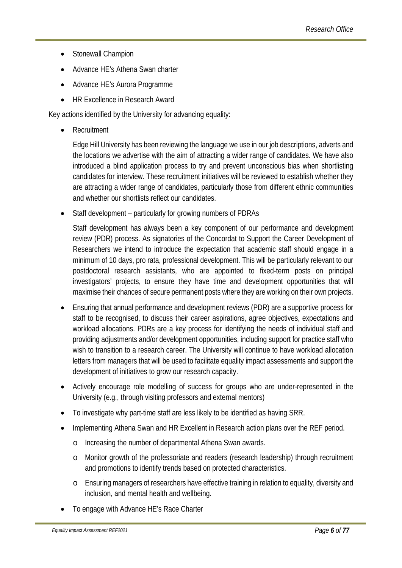- Stonewall Champion
- Advance HE's Athena Swan charter
- Advance HE's Aurora Programme
- HR Excellence in Research Award

Key actions identified by the University for advancing equality:

**Recruitment** 

Edge Hill University has been reviewing the language we use in our job descriptions, adverts and the locations we advertise with the aim of attracting a wider range of candidates. We have also introduced a blind application process to try and prevent unconscious bias when shortlisting candidates for interview. These recruitment initiatives will be reviewed to establish whether they are attracting a wider range of candidates, particularly those from different ethnic communities and whether our shortlists reflect our candidates.

• Staff development – particularly for growing numbers of PDRAs

Staff development has always been a key component of our performance and development review (PDR) process. As signatories of the Concordat to Support the Career Development of Researchers we intend to introduce the expectation that academic staff should engage in a minimum of 10 days, pro rata, professional development. This will be particularly relevant to our postdoctoral research assistants, who are appointed to fixed-term posts on principal investigators' projects, to ensure they have time and development opportunities that will maximise their chances of secure permanent posts where they are working on their own projects.

- Ensuring that annual performance and development reviews (PDR) are a supportive process for staff to be recognised, to discuss their career aspirations, agree objectives, expectations and workload allocations. PDRs are a key process for identifying the needs of individual staff and providing adjustments and/or development opportunities, including support for practice staff who wish to transition to a research career. The University will continue to have workload allocation letters from managers that will be used to facilitate equality impact assessments and support the development of initiatives to grow our research capacity.
- Actively encourage role modelling of success for groups who are under-represented in the University (e.g., through visiting professors and external mentors)
- To investigate why part-time staff are less likely to be identified as having SRR.
- Implementing Athena Swan and HR Excellent in Research action plans over the REF period.
	- o Increasing the number of departmental Athena Swan awards.
	- o Monitor growth of the professoriate and readers (research leadership) through recruitment and promotions to identify trends based on protected characteristics.
	- o Ensuring managers of researchers have effective training in relation to equality, diversity and inclusion, and mental health and wellbeing.
- To engage with Advance HE's Race Charter